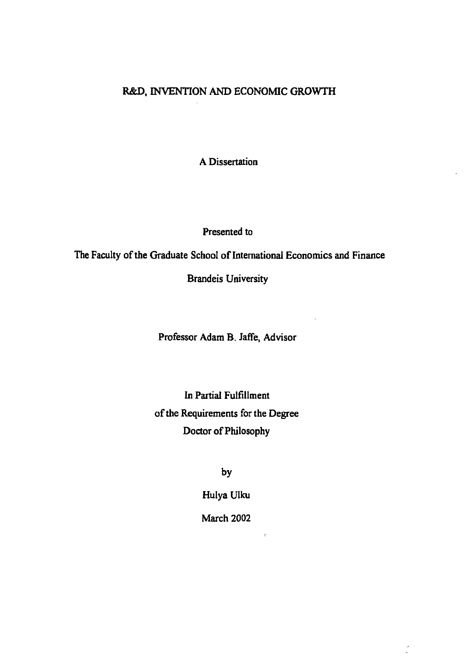## **R&D, INVENTION AND ECONOMIC GROWTH**

**A Dissertation**

**Presented to**

**The Faculty of the Graduate School of International Economics and Finance**

**Brandeis University**

**Professor Adam B. Jaffe, Advisor**

**In Partial Fulfillment of the Requirements for the Degree Doctor of Philosophy**

**by**

**Hulya Ulku**

**March 2002**

 $\hat{G}$ 

Q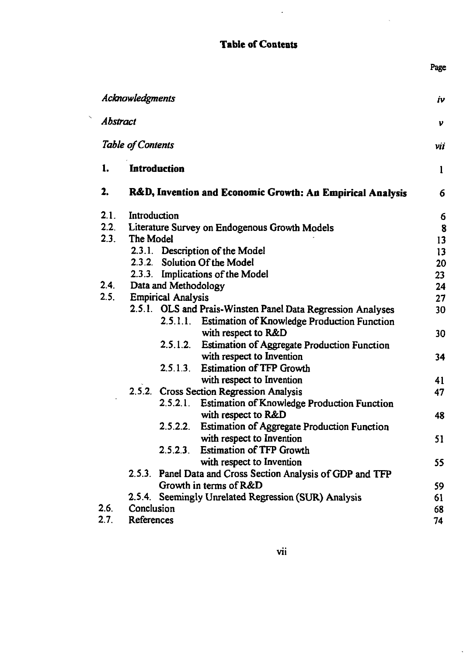## **Table of Contents**

 $\mathcal{L}^{\pm}$ 

Page

 $\ddot{\phantom{a}}$ 

|                 | Acknowledgments                                           |                                                                                          |                                                                           | iν           |  |
|-----------------|-----------------------------------------------------------|------------------------------------------------------------------------------------------|---------------------------------------------------------------------------|--------------|--|
| <b>Abstract</b> |                                                           |                                                                                          |                                                                           | v            |  |
|                 | <b>Table of Contents</b>                                  |                                                                                          |                                                                           | νii          |  |
| 1.              |                                                           | Introduction                                                                             |                                                                           | $\mathbf{1}$ |  |
| 2.              | R&D, Invention and Economic Growth: An Empirical Analysis |                                                                                          |                                                                           |              |  |
| 2.1.            | Introduction                                              |                                                                                          |                                                                           |              |  |
| 2.2             |                                                           | Literature Survey on Endogenous Growth Models                                            |                                                                           |              |  |
| 2.3.            | The Model                                                 |                                                                                          |                                                                           |              |  |
|                 |                                                           |                                                                                          | 2.3.1. Description of the Model                                           | 13           |  |
|                 | 2.3.2.                                                    |                                                                                          | <b>Solution Of the Model</b>                                              | 20<br>23     |  |
|                 |                                                           | 2.3.3. Implications of the Model                                                         |                                                                           |              |  |
| 2.4.            |                                                           | Data and Methodology                                                                     | 24                                                                        |              |  |
| 2.5.            | <b>Empirical Analysis</b>                                 |                                                                                          |                                                                           | 27           |  |
|                 |                                                           |                                                                                          | 2.5.1. OLS and Prais-Winsten Panel Data Regression Analyses               | 30           |  |
|                 |                                                           |                                                                                          | 2.5.1.1. Estimation of Knowledge Production Function                      |              |  |
|                 |                                                           |                                                                                          | with respect to R&D                                                       | 30           |  |
|                 |                                                           | 2.5.1.2.                                                                                 | <b>Estimation of Aggregate Production Function</b>                        |              |  |
|                 |                                                           |                                                                                          | with respect to Invention                                                 | 34           |  |
|                 |                                                           |                                                                                          | 2.5.1.3. Estimation of TFP Growth                                         | 41           |  |
|                 | with respect to Invention                                 |                                                                                          |                                                                           |              |  |
|                 |                                                           |                                                                                          | 2.5.2. Cross Section Regression Analysis                                  | 47           |  |
|                 |                                                           |                                                                                          | 2.5.2.1. Estimation of Knowledge Production Function                      |              |  |
|                 |                                                           | 2.5.2.2.                                                                                 | with respect to R&D<br><b>Estimation of Aggregate Production Function</b> | 48           |  |
|                 |                                                           |                                                                                          | with respect to Invention                                                 |              |  |
|                 |                                                           | 2.5.2.3                                                                                  | <b>Estimation of TFP Growth</b>                                           | 51           |  |
|                 |                                                           |                                                                                          |                                                                           | 55           |  |
|                 |                                                           | with respect to Invention<br>2.5.3. Panel Data and Cross Section Analysis of GDP and TFP |                                                                           |              |  |
|                 |                                                           | Growth in terms of R&D                                                                   |                                                                           |              |  |
|                 |                                                           | 2.5.4. Seemingly Unrelated Regression (SUR) Analysis                                     |                                                                           |              |  |
| 2.6.            | Conclusion                                                |                                                                                          |                                                                           | 61<br>68     |  |
|                 | References                                                |                                                                                          |                                                                           |              |  |